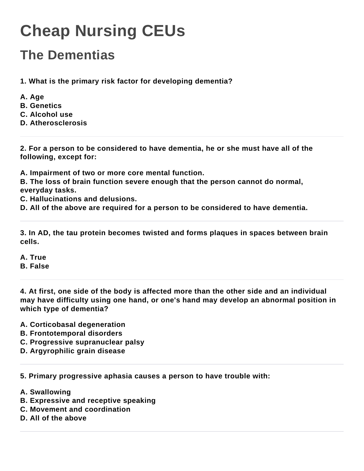## **Cheap Nursing CEUs**

## **The Dementias**

**1. What is the primary risk factor for developing dementia?**

- **A. Age**
- **B. Genetics**
- **C. Alcohol use**
- **D. Atherosclerosis**

**2. For a person to be considered to have dementia, he or she must have all of the following, except for:**

**A. Impairment of two or more core mental function.**

**B. The loss of brain function severe enough that the person cannot do normal, everyday tasks.**

**C. Hallucinations and delusions.**

**D. All of the above are required for a person to be considered to have dementia.**

**3. In AD, the tau protein becomes twisted and forms plaques in spaces between brain cells.**

**A. True**

## **B. False**

**4. At first, one side of the body is affected more than the other side and an individual may have difficulty using one hand, or one's hand may develop an abnormal position in which type of dementia?**

- **A. Corticobasal degeneration**
- **B. Frontotemporal disorders**
- **C. Progressive supranuclear palsy**
- **D. Argyrophilic grain disease**

**5. Primary progressive aphasia causes a person to have trouble with:**

- **A. Swallowing**
- **B. Expressive and receptive speaking**
- **C. Movement and coordination**
- **D. All of the above**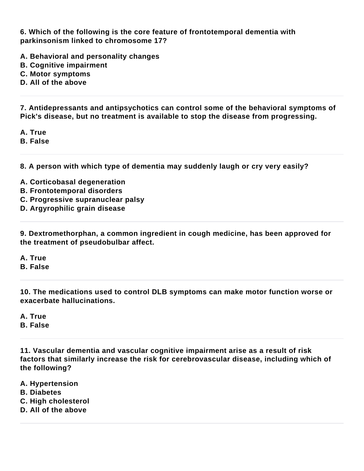**6. Which of the following is the core feature of frontotemporal dementia with parkinsonism linked to chromosome 17?**

- **A. Behavioral and personality changes**
- **B. Cognitive impairment**
- **C. Motor symptoms**
- **D. All of the above**

**7. Antidepressants and antipsychotics can control some of the behavioral symptoms of Pick's disease, but no treatment is available to stop the disease from progressing.**

**A. True**

**B. False**

**8. A person with which type of dementia may suddenly laugh or cry very easily?**

- **A. Corticobasal degeneration**
- **B. Frontotemporal disorders**
- **C. Progressive supranuclear palsy**
- **D. Argyrophilic grain disease**

**9. Dextromethorphan, a common ingredient in cough medicine, has been approved for the treatment of pseudobulbar affect.**

- **A. True**
- **B. False**

**10. The medications used to control DLB symptoms can make motor function worse or exacerbate hallucinations.**

**A. True B. False**

**11. Vascular dementia and vascular cognitive impairment arise as a result of risk factors that similarly increase the risk for cerebrovascular disease, including which of the following?**

- **A. Hypertension**
- **B. Diabetes**
- **C. High cholesterol**
- **D. All of the above**